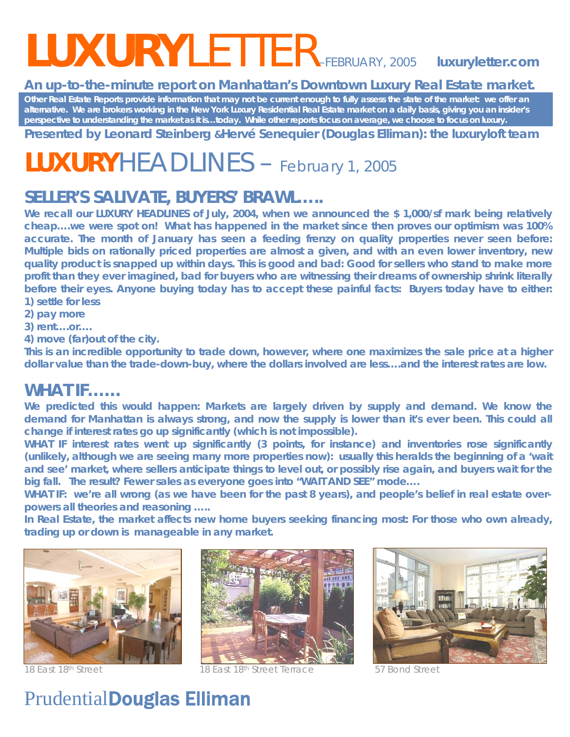# *LUXURYLETTER–FEBRUARY, 2005 luxuryletter.com*

#### **An up-to-the-minute report on Manhattan's Downtown Luxury Real Estate market.**

**Other Real Estate Reports provide information that may not be current enough to fully assess the state of the market: we offer an alternative. We are brokers working in the New York Luxury Residential Real Estate market on a daily basis, giving you an insider's perspective to understanding the market as it is…today. While other reports focus on average, we choose to focus on luxury.** 

**Presented by Leonard Steinberg &Hervé Senequier (Douglas Elliman): the** *luxuryloft* **team** 

## **LUXURY***HEADLINES –* February 1, 2005

#### **SELLER'S SALIVATE, BUYERS' BRAWL…..**

We recall our LUXURY HEADLINES of July, 2004, when we announced the \$1,000/sf mark being relatively **cheap….we were spot on! What has happened in the market since then proves our optimism was 100% accurate. The month of January has seen a feeding frenzy on quality properties never seen before: Multiple bids on rationally priced properties are almost a given, and with an even lower inventory, new quality product is snapped up within days. This is good and bad: Good for sellers who stand to make more profit than they ever imagined, bad for buyers who are witnessing their dreams of ownership shrink literally before their eyes. Anyone buying today has to accept these painful facts: Buyers today have to either: 1) settle for less** 

**2) pay more** 

**3) rent….or….** 

**4) move (far)out of the city.** 

**This is an incredible opportunity to trade down, however, where one maximizes the sale price at a higher dollar value than the trade-down-buy, where the dollars involved are less….and the interest rates are low.** 

#### **WHAT IF……**

We predicted this would happen: Markets are largely driven by supply and demand. We know the **demand for Manhattan is always strong, and now the supply is lower than it's ever been. This could all change if interest rates go up significantly (which is not impossible).** 

**WHAT IF interest rates went up significantly (3 points, for instance) and inventories rose significantly (unlikely, although we are seeing many more properties now): usually this heralds the beginning of a 'wait and see' market, where sellers anticipate things to level out, or possibly rise again, and buyers wait for the big fall. The result? Fewer sales as everyone goes into "WAIT AND SEE" mode….** 

**WHAT IF: we're all wrong (as we have been for the past 8 years), and people's belief in real estate overpowers all theories and reasoning …..** 

**In Real Estate, the market affects new home buyers seeking financing most: For those who own already, trading up or down is manageable in any market.** 





18 East 18<sup>th</sup> Street 18th Street 18th Street Terrace 57 Bond Street

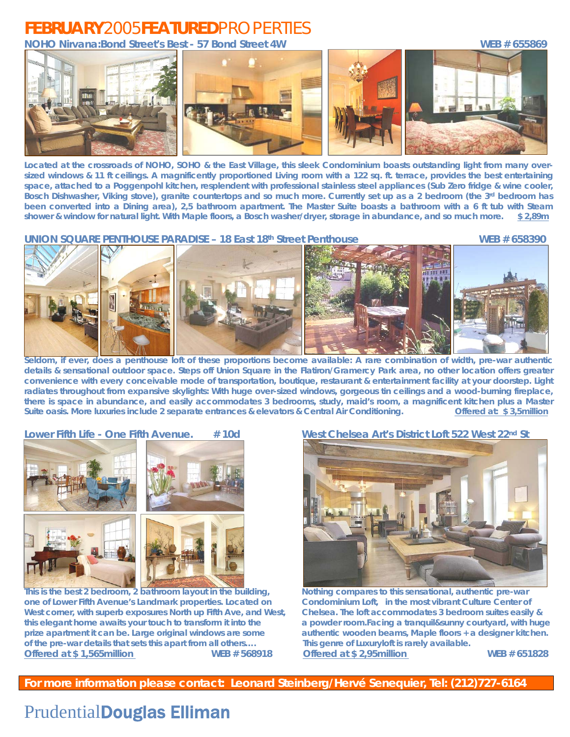### **FEBRUARY***2005***FEATURED***PROPERTIES*

**NOHO Nirvana:Bond Street's Best - 57 Bond Street 4W WEB # 655869** 



**Located at the crossroads of NOHO, SOHO & the East Village, this sleek Condominium boasts outstanding light from many oversized windows & 11 ft ceilings. A magnificently proportioned Living room with a 122 sq. ft. terrace, provides the best entertaining space, attached to a Poggenpohl kitchen, resplendent with professional stainless steel appliances (Sub Zero fridge & wine cooler,**  Bosch Dishwasher, Viking stove), granite countertops and so much more. Currently set up as a 2 bedroom (the 3<sup>rd</sup> bedroom has **been converted into a Dining area), 2,5 bathroom apartment. The Master Suite boasts a bathroom with a 6 ft tub with Steam shower & window for natural light. With Maple floors, a Bosch washer/dryer, storage in abundance, and so much more. \$ 2,89m**

**UNION SQUARE PENTHOUSE PARADISE – 18 East 18<sup>th</sup> Street Penthouse WEB # 658390 <b>WEB # 658390** 



**Seldom, if ever, does a penthouse loft of these proportions become available: A rare combination of width, pre-war authentic details & sensational outdoor space. Steps off Union Square in the Flatiron/Gramercy Park area, no other location offers greater convenience with every conceivable mode of transportation, boutique, restaurant & entertainment facility at your doorstep. Light radiates throughout from expansive skylights: With huge over-sized windows, gorgeous tin ceilings and a wood-burning fireplace, there is space in abundance, and easily accommodates 3 bedrooms, study, maid's room, a magnificent kitchen plus a Master Suite oasis. More luxuries include 2 separate entrances & elevators & Central Air Conditioning. Offered at: \$ 3,5million**



**This is the best 2 bedroom, 2 bathroom layout in the building, Nothing compares to this sensational, authentic pre-war one of Lower Fifth Avenue's Landmark properties. Located on Condominium Loft, in the most vibrant Culture Center of West corner, with superb exposures North up Fifth Ave, and West, Chelsea. The loft accommodates 3 bedroom suites easily & this elegant home awaits your touch to transform it into the a powder room.Facing a tranquil&sunny courtyard, with huge prize apartment it can be. Large original windows are some authentic wooden beams, Maple floors + a designer kitchen. of the pre-war details that sets this apart from all others…. This genre of Luxuryloft is rarely available. Offered at \$ 1,565million WEB # 568918 Offered at \$ 2,95million WEB # 651828**

#### **Lower Fifth Life - One Fifth Avenue. # 10d West Chelsea Art's District Loft 522 West 22nd St**



**For more information please contact: Leonard Steinberg/Hervé Senequier, Tel: (212)727-6164**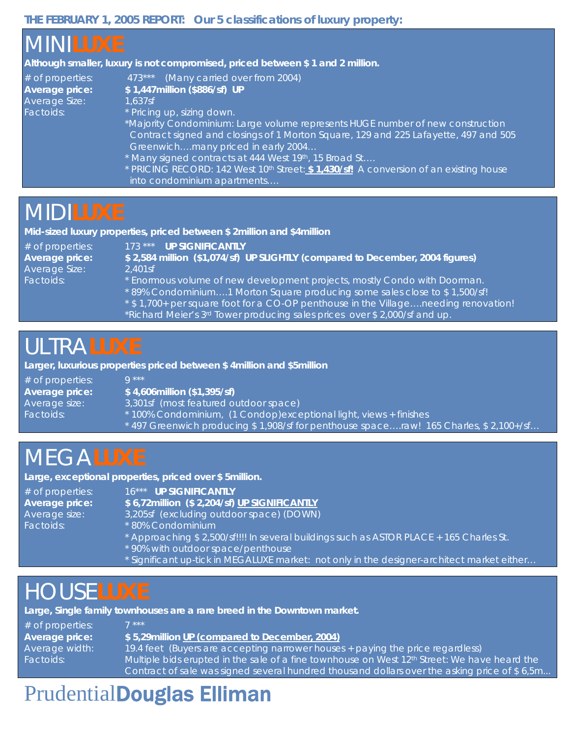#### **THE FEBRUARY 1, 2005 REPORT: Our 5 classifications of luxury property:**

| <b>MINILUXE</b><br>$#$ of properties:<br>Average price:<br>Average Size:<br>Factoids: | Although smaller, luxury is not compromised, priced between \$1 and 2 million.<br>473*** (Many carried over from 2004)<br>\$1,447million (\$886/sf) UP<br>1.637sf<br>* Pricing up, sizing down.<br>*Majority Condominium: Large volume represents HUGE number of new construction<br>Contract signed and closings of 1 Morton Square, 129 and 225 Lafayette, 497 and 505<br>Greenwichmany priced in early 2004<br>* Many signed contracts at 444 West 19th, 15 Broad St<br>* PRICING RECORD: 142 West 10 <sup>th</sup> Street: <b>\$ 1,430/sf!</b> A conversion of an existing house<br>into condominium apartments |
|---------------------------------------------------------------------------------------|---------------------------------------------------------------------------------------------------------------------------------------------------------------------------------------------------------------------------------------------------------------------------------------------------------------------------------------------------------------------------------------------------------------------------------------------------------------------------------------------------------------------------------------------------------------------------------------------------------------------|
| <b>MIDILUXE</b>                                                                       | Mid-sized luxury properties, priced between \$2 million and \$4 million                                                                                                                                                                                                                                                                                                                                                                                                                                                                                                                                             |
| $#$ of properties:                                                                    | 173 *** UP SIGNIFICANTLY                                                                                                                                                                                                                                                                                                                                                                                                                                                                                                                                                                                            |

**Average price: \$ 2,584 million (\$1,074/sf) UP SLIGHTLY (compared to December, 2004 figures)**  Average Size: 2,401sf Factoids: \* \* Enormous volume of new development projects, mostly Condo with Doorman. \* 89% Condominium….1 Morton Square producing some sales close to \$ 1,500/sf!

- \* \$ 1,700+ per square foot for a CO-OP penthouse in the Village….needing renovation!
	- \*Richard Meier's 3rd Tower producing sales prices over \$ 2,000/sf and up.

### *ULTRA***LUXE**

**Larger, luxurious properties priced between \$ 4million and \$5million** 

| $#$ of properties:<br>Average price: | $\bigcap$ ***<br>$$4,606$ million $($1,395/s)$                                       |
|--------------------------------------|--------------------------------------------------------------------------------------|
| Average size:                        | 3,301sf (most featured outdoor space)                                                |
| Factoids:                            | * 100% Condominium, (1 Condop) exceptional light, views + finishes                   |
|                                      | *497 Greenwich producing \$1,908/sf for penthouse spaceraw! 165 Charles, \$2,100+/sf |

### *MEGA***LUXE**

**Large, exceptional properties, priced over \$ 5million.** 

# of properties: 16\*\*\* **UP SIGNIFICANTLY**

**Average price: \$ 6,72million (\$ 2,204/sf) UP SIGNIFICANTLY**

Average size: 3,205sf (excluding outdoor space) (DOWN)

- Factoids: \* \* 80% Condominium
	- \* Approaching \$ 2,500/sf!!!! In several buildings such as ASTOR PLACE + 165 Charles St.
	- \* 90% with outdoor space/penthouse
	- \* Significant up-tick in MEGALUXE market: not only in the designer-architect market either…

### *HOUSE***LUXE**

**Large, Single family townhouses are a rare breed in the Downtown market.** 

| $#$ of properties: | 7 ***                                                                                                    |
|--------------------|----------------------------------------------------------------------------------------------------------|
| Average price:     | \$5,29million UP (compared to December, 2004)                                                            |
| Average width:     | 19.4 feet (Buyers are accepting narrower houses + paying the price regardless)                           |
| Factoids:          | Multiple bids erupted in the sale of a fine townhouse on West 12 <sup>th</sup> Street: We have heard the |
|                    | Contract of sale was signed several hundred thousand dollars over the asking price of \$6,5m             |